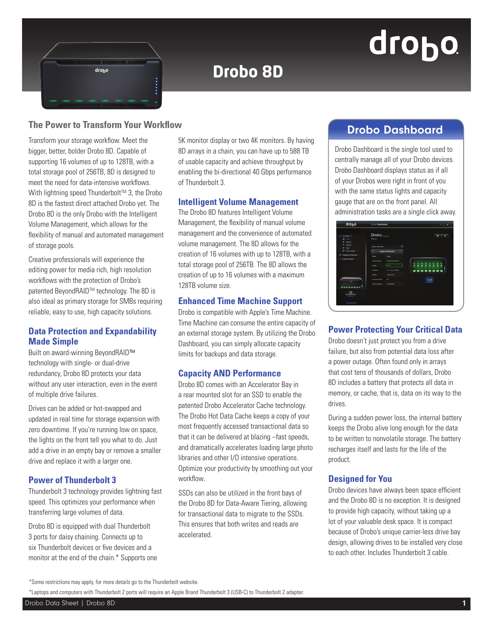# drobo

## **Drobo 8D**

### **The Power to Transform Your Workflow** Manuscription of the Contractor of Transform of the Drobo Dashboard

drobo

Transform your storage workflow. Meet the bigger, better, bolder Drobo 8D. Capable of supporting 16 volumes of up to 128TB, with a total storage pool of 256TB, 8D is designed to meet the need for data-intensive workflows. With lightning speed Thunderbolt™ 3, the Drobo 8D is the fastest direct attached Drobo yet. The Drobo 8D is the only Drobo with the Intelligent Volume Management, which allows for the flexibility of manual and automated management of storage pools.

Creative professionals will experience the editing power for media rich, high resolution workflows with the protection of Drobo's patented BeyondRAID™ technology. The 8D is also ideal as primary storage for SMBs requiring reliable, easy to use, high capacity solutions.

#### **Data Protection and Expandability Made Simple**

Built on award-winning BeyondRAID™ technology with single- or dual-drive redundancy, Drobo 8D protects your data without any user interaction, even in the event of multiple drive failures.

Drives can be added or hot-swapped and updated in real time for storage expansion with zero downtime. If you're running low on space, the lights on the front tell you what to do. Just add a drive in an empty bay or remove a smaller drive and replace it with a larger one.

#### **Power of Thunderbolt 3**

Thunderbolt 3 technology provides lightning fast speed. This optimizes your performance when transferring large volumes of data.

Drobo 8D is equipped with dual Thunderbolt 3 ports for daisy chaining. Connects up to six Thunderbolt devices or five devices and a monitor at the end of the chain.\* Supports one

5K monitor display or two 4K monitors. By having 8D arrays in a chain, you can have up to 588 TB of usable capacity and achieve throughput by enabling the bi-directional 40 Gbps performance of Thunderbolt 3.

#### **Intelligent Volume Management**

The Drobo 8D features Intelligent Volume Management, the flexibility of manual volume management and the convenience of automated volume management. The 8D allows for the creation of 16 volumes with up to 128TB, with a total storage pool of 256TB. The 8D allows the creation of up to 16 volumes with a maximum 128TB volume size.

#### **Enhanced Time Machine Support**

Drobo is compatible with Apple's Time Machine. Time Machine can consume the entire capacity of an external storage system. By utilizing the Drobo Dashboard, you can simply allocate capacity limits for backups and data storage.

#### **Capacity AND Performance**

Drobo 8D comes with an Accelerator Bay in a rear mounted slot for an SSD to enable the patented Drobo Accelerator Cache technology. The Drobo Hot Data Cache keeps a copy of your most frequently accessed transactional data so that it can be delivered at blazing –fast speeds, and dramatically accelerates loading large photo libraries and other I/O intensive operations. Optimize your productivity by smoothing out your workflow.

SSDs can also be utilized in the front bays of the Drobo 8D for Data-Aware Tiering, allowing for transactional data to migrate to the SSDs. This ensures that both writes and reads are accelerated.

Drobo Dashboard is the single tool used to centrally manage all of your Drobo devices. Drobo Dashboard displays status as if all of your Drobos were right in front of you with the same status lights and capacity gauge that are on the front panel. All administration tasks are a single click away.

| $11 - AB$ Debox (1)                       | Drobo <sub>10006110</sub>                 |                           |  |    |           |     |   | $\triangle$ 1 $\circ$ |  |
|-------------------------------------------|-------------------------------------------|---------------------------|--|----|-----------|-----|---|-----------------------|--|
| all times                                 | <b>Status</b>                             |                           |  |    |           |     |   |                       |  |
| Casachy<br>٠                              |                                           |                           |  |    |           |     |   |                       |  |
| Volumes<br>٠                              | System Information                        |                           |  |    |           |     |   |                       |  |
| <b>Too's</b><br>×<br>m<br>Drobe Settings  |                                           | <b>System Information</b> |  |    |           |     |   |                       |  |
| <b>Dashboard Preferences</b><br>$\bullet$ |                                           |                           |  |    |           |     |   |                       |  |
| Help and Support                          | Name                                      | Deter                     |  |    |           |     |   |                       |  |
|                                           | <b><i><u><b>Barial Number</b></u></i></b> | DRA 183802200210          |  |    |           |     |   |                       |  |
|                                           | Health                                    | Good                      |  | å. | a a a a a |     | ä |                       |  |
|                                           | <b>Ferrent</b>                            | 4.1.1112.7.1001941        |  |    |           |     |   |                       |  |
|                                           | Uptime                                    | 1 dec 01:34               |  |    |           |     |   |                       |  |
| $\equiv$                                  | Hot Data Cache                            | $\sim$                    |  |    |           | sso |   |                       |  |
|                                           | Active Interface                          | Thunderboit               |  |    |           |     |   |                       |  |
| $\circ$<br><b>Mal Data Cariha</b>         |                                           |                           |  |    |           |     |   |                       |  |

#### **Power Protecting Your Critical Data**

Drobo doesn't just protect you from a drive failure, but also from potential data loss after a power outage. Often found only in arrays that cost tens of thousands of dollars, Drobo 8D includes a battery that protects all data in memory, or cache, that is, data on its way to the drives.

During a sudden power loss, the internal battery keeps the Drobo alive long enough for the data to be written to nonvolatile storage. The battery recharges itself and lasts for the life of the product.

#### **Designed for You**

Drobo devices have always been space efficient and the Drobo 8D is no exception. It is designed to provide high capacity, without taking up a lot of your valuable desk space. It is compact because of Drobo's unique carrier-less drive bay design, allowing drives to be installed very close to each other. Includes Thunderbolt 3 cable.

\*Laptops and computers with Thunderbolt 2 ports will require an Apple Brand Thunderbolt 3 (USB-C) to Thunderbolt 2 adapter.

<sup>\*</sup>Some restrictions may apply, for more details go to the Thunderbolt website.